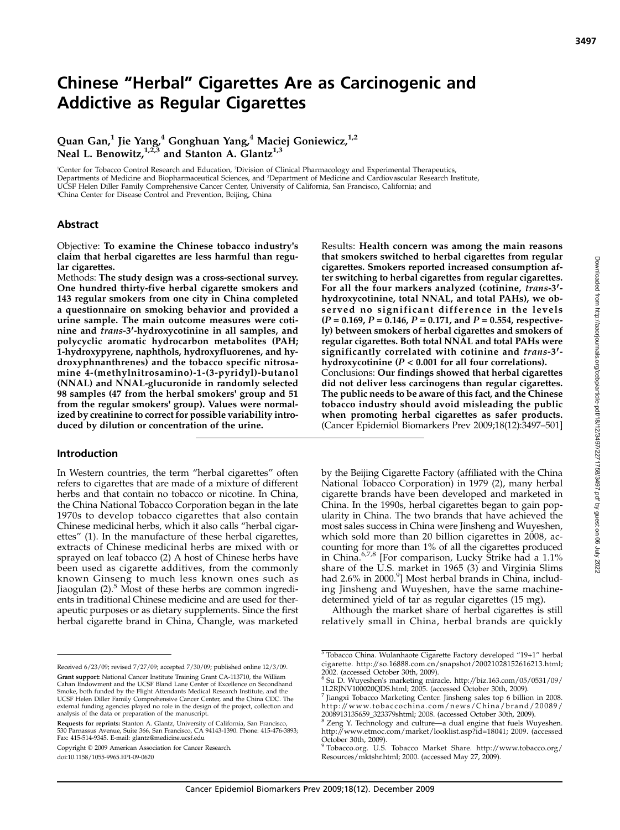# Chinese "Herbal" Cigarettes Are as Carcinogenic and Addictive as Regular Cigarettes

Quan Gan,<sup>1</sup> Jie Yang,<sup>4</sup> Gonghuan Yang,<sup>4</sup> Maciej Goniewicz,<sup>1,2</sup> Neal L. Benowitz,  $1,2,3}$  and Stanton A. Glantz $1,3$ 

1 Center for Tobacco Control Research and Education, <sup>2</sup> Division of Clinical Pharmacology and Experimental Therapeutics, Departments of Medicine and Biopharmaceutical Sciences, and <sup>3</sup>Department of Medicine and Cardiovascular Research Institute, UCSF Helen Diller Family Comprehensive Cancer Center, University of California, San Francisco, California; and 4 China Center for Disease Control and Prevention, Beijing, China

#### Abstract

Objective: To examine the Chinese tobacco industry's claim that herbal cigarettes are less harmful than regular cigarettes.

Methods: The study design was a cross-sectional survey. One hundred thirty-five herbal cigarette smokers and 143 regular smokers from one city in China completed a questionnaire on smoking behavior and provided a urine sample. The main outcome measures were cotinine and trans-3′-hydroxycotinine in all samples, and polycyclic aromatic hydrocarbon metabolites (PAH; 1-hydroxypyrene, naphthols, hydroxyfluorenes, and hydroxyphnanthrenes) and the tobacco specific nitrosamine 4-(methylnitrosamino)-1-(3-pyridyl)-butanol (NNAL) and NNAL-glucuronide in randomly selected 98 samples (47 from the herbal smokers' group and 51 from the regular smokers' group). Values were normalized by creatinine to correct for possible variability introduced by dilution or concentration of the urine.

#### Introduction

In Western countries, the term "herbal cigarettes" often refers to cigarettes that are made of a mixture of different herbs and that contain no tobacco or nicotine. In China, the China National Tobacco Corporation began in the late 1970s to develop tobacco cigarettes that also contain Chinese medicinal herbs, which it also calls "herbal cigarettes" (1). In the manufacture of these herbal cigarettes, extracts of Chinese medicinal herbs are mixed with or sprayed on leaf tobacco (2) A host of Chinese herbs have been used as cigarette additives, from the commonly known Ginseng to much less known ones such as Jiaogulan  $(2)$ <sup>5</sup> Most of these herbs are common ingredients in traditional Chinese medicine and are used for therapeutic purposes or as dietary supplements. Since the first herbal cigarette brand in China, Changle, was marketed

Received 6/23/09; revised 7/27/09; accepted 7/30/09; published online 12/3/09. Grant support: National Cancer Institute Training Grant CA-113710, the William Cahan Endowment and the UCSF Bland Lane Center of Excellence on Secondhand Smoke, both funded by the Flight Attendants Medical Research Institute, and the UCSF Helen Diller Family Comprehensive Cancer Center, and the China CDC. The external funding agencies played no role in the design of the project, collection and analysis of the data or preparation of the manuscript.

Copyright © 2009 American Association for Cancer Research.

doi:10.1158/1055-9965.EPI-09-0620

Results: Health concern was among the main reasons that smokers switched to herbal cigarettes from regular cigarettes. Smokers reported increased consumption after switching to herbal cigarettes from regular cigarettes. For all the four markers analyzed (cotinine, trans-3′ hydroxycotinine, total NNAL, and total PAHs), we observed no significant difference in the levels  $(P = 0.169, P = 0.146, P = 0.171,$  and  $P = 0.554$ , respectively) between smokers of herbal cigarettes and smokers of regular cigarettes. Both total NNAL and total PAHs were significantly correlated with cotinine and trans-3′ hydroxycotinine ( $P < 0.001$  for all four correlations). Conclusions: Our findings showed that herbal cigarettes did not deliver less carcinogens than regular cigarettes. The public needs to be aware of this fact, and the Chinese tobacco industry should avoid misleading the public when promoting herbal cigarettes as safer products. (Cancer Epidemiol Biomarkers Prev 2009;18(12):3497–501]

by the Beijing Cigarette Factory (affiliated with the China National Tobacco Corporation) in 1979 (2), many herbal cigarette brands have been developed and marketed in China. In the 1990s, herbal cigarettes began to gain popularity in China. The two brands that have achieved the most sales success in China were Jinsheng and Wuyeshen, which sold more than 20 billion cigarettes in 2008, accounting for more than 1% of all the cigarettes produced in China.6,7,8 [For comparison, Lucky Strike had a 1.1% share of the U.S. market in 1965 (3) and Virginia Slims had 2.6% in 2000.<sup>9</sup>] Most herbal brands in China, including Jinsheng and Wuyeshen, have the same machinedetermined yield of tar as regular cigarettes (15 mg).

Although the market share of herbal cigarettes is still relatively small in China, herbal brands are quickly

Requests for reprints: Stanton A. Glantz, University of California, San Francisco, 530 Parnassus Avenue, Suite 366, San Francisco, CA 94143-1390. Phone: 415-476-3893; Fax: 415-514-9345. E-mail: glantz@medicine.ucsf.edu

<sup>5</sup> Tobacco China. Wulanhaote Cigarette Factory developed "19+1" herbal cigarette. http://so.16888.com.cn/snapshot/20021028152616213.html; 2002. (accessed October 30th, 2009).

 $6$  Su D. Wuyeshen's marketing miracle. http://biz.163.com/05/0531/09/ 1L2RJNV100020QDS.html; 2005. (accessed October 30th, 2009).

<sup>7</sup> Jiangxi Tobacco Marketing Center. Jinsheng sales top 6 billion in 2008. http://www. tobaccochina.com/news/China/brand/20089/ 2008913135659\_323379shtml; 2008. (accessed October 30th, 2009).

<sup>8</sup> Zeng Y. Technology and culture—a dual engine that fuels Wuyeshen. http://www.etmoc.com/market/looklist.asp?id=18041; 2009. (accessed October 30th, 2009).

<sup>9</sup> Tobacco.org. U.S. Tobacco Market Share. http://www.tobacco.org/ Resources/mktshr.html; 2000. (accessed May 27, 2009).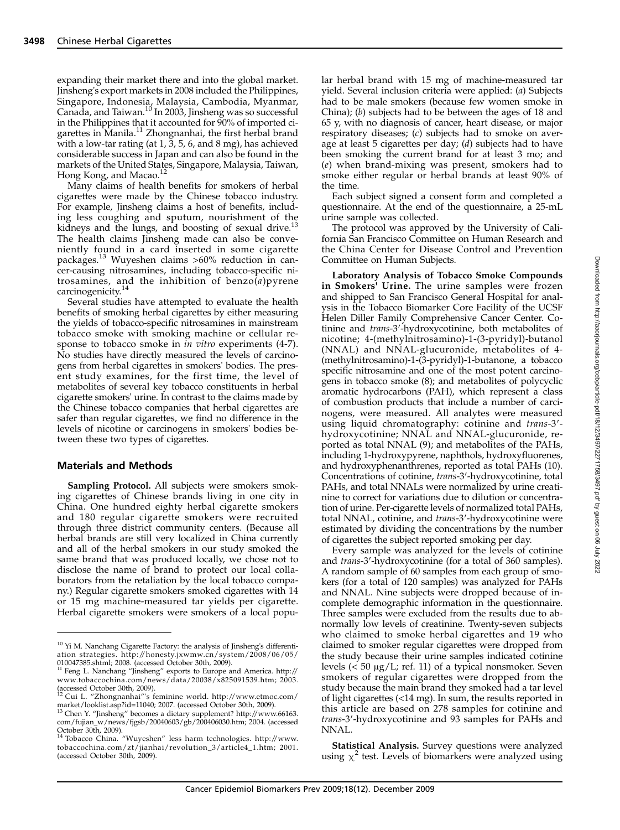expanding their market there and into the global market. Jinsheng's export markets in 2008 included the Philippines, Singapore, Indonesia, Malaysia, Cambodia, Myanmar, Canada, and Taiwan.10 In 2003, Jinsheng was so successful in the Philippines that it accounted for 90% of imported cigarettes in Manila.<sup>11</sup> Zhongnanhai, the first herbal brand with a low-tar rating (at 1, 3, 5, 6, and 8 mg), has achieved considerable success in Japan and can also be found in the markets of the United States, Singapore, Malaysia, Taiwan, Hong Kong, and Macao.<sup>12</sup>

Many claims of health benefits for smokers of herbal cigarettes were made by the Chinese tobacco industry. For example, Jinsheng claims a host of benefits, including less coughing and sputum, nourishment of the kidneys and the lungs, and boosting of sexual drive. $13$ The health claims Jinsheng made can also be conveniently found in a card inserted in some cigarette packages.<sup>13</sup> Wuyeshen claims >60% reduction in cancer-causing nitrosamines, including tobacco-specific nitrosamines, and the inhibition of  $benzo(a)$ pyrene carcinogenicity.<sup>14</sup>

Several studies have attempted to evaluate the health benefits of smoking herbal cigarettes by either measuring the yields of tobacco-specific nitrosamines in mainstream tobacco smoke with smoking machine or cellular response to tobacco smoke in *in vitro* experiments  $(4-7)$ . No studies have directly measured the levels of carcinogens from herbal cigarettes in smokers' bodies. The present study examines, for the first time, the level of metabolites of several key tobacco constituents in herbal cigarette smokers' urine. In contrast to the claims made by the Chinese tobacco companies that herbal cigarettes are safer than regular cigarettes, we find no difference in the levels of nicotine or carcinogens in smokers' bodies between these two types of cigarettes.

## Materials and Methods

Sampling Protocol. All subjects were smokers smoking cigarettes of Chinese brands living in one city in China. One hundred eighty herbal cigarette smokers and 180 regular cigarette smokers were recruited through three district community centers. (Because all herbal brands are still very localized in China currently and all of the herbal smokers in our study smoked the same brand that was produced locally, we chose not to disclose the name of brand to protect our local collaborators from the retaliation by the local tobacco company.) Regular cigarette smokers smoked cigarettes with 14 or 15 mg machine-measured tar yields per cigarette. Herbal cigarette smokers were smokers of a local popu-

lar herbal brand with 15 mg of machine-measured tar yield. Several inclusion criteria were applied: (a) Subjects had to be male smokers (because few women smoke in China); (b) subjects had to be between the ages of 18 and 65 y, with no diagnosis of cancer, heart disease, or major respiratory diseases; (c) subjects had to smoke on average at least 5 cigarettes per day; (d) subjects had to have been smoking the current brand for at least 3 mo; and (e) when brand-mixing was present, smokers had to smoke either regular or herbal brands at least 90% of the time.

Each subject signed a consent form and completed a questionnaire. At the end of the questionnaire, a 25-mL urine sample was collected.

The protocol was approved by the University of California San Francisco Committee on Human Research and the China Center for Disease Control and Prevention Committee on Human Subjects.

Laboratory Analysis of Tobacco Smoke Compounds in Smokers' Urine. The urine samples were frozen and shipped to San Francisco General Hospital for analysis in the Tobacco Biomarker Core Facility of the UCSF Helen Diller Family Comprehensive Cancer Center. Cotinine and trans-3′-hydroxycotinine, both metabolites of nicotine; 4-(methylnitrosamino)-1-(3-pyridyl)-butanol (NNAL) and NNAL-glucuronide, metabolites of 4- (methylnitrosamino)-1-(3-pyridyl)-1-butanone, a tobacco specific nitrosamine and one of the most potent carcinogens in tobacco smoke (8); and metabolites of polycyclic aromatic hydrocarbons (PAH), which represent a class of combustion products that include a number of carcinogens, were measured. All analytes were measured using liquid chromatography: cotinine and trans-3′ hydroxycotinine; NNAL and NNAL-glucuronide, reported as total NNAL (9); and metabolites of the PAHs, including 1-hydroxypyrene, naphthols, hydroxyfluorenes, and hydroxyphenanthrenes, reported as total PAHs (10). Concentrations of cotinine, trans-3′-hydroxycotinine, total PAHs, and total NNALs were normalized by urine creatinine to correct for variations due to dilution or concentration of urine. Per-cigarette levels of normalized total PAHs, total NNAL, cotinine, and trans-3′-hydroxycotinine were estimated by dividing the concentrations by the number of cigarettes the subject reported smoking per day.

Every sample was analyzed for the levels of cotinine and trans-3′-hydroxycotinine (for a total of 360 samples). A random sample of 60 samples from each group of smokers (for a total of 120 samples) was analyzed for PAHs and NNAL. Nine subjects were dropped because of incomplete demographic information in the questionnaire. Three samples were excluded from the results due to abnormally low levels of creatinine. Twenty-seven subjects who claimed to smoke herbal cigarettes and 19 who claimed to smoker regular cigarettes were dropped from the study because their urine samples indicated cotinine levels (< 50 μg/L; ref. 11) of a typical nonsmoker. Seven smokers of regular cigarettes were dropped from the study because the main brand they smoked had a tar level of light cigarettes (<14 mg). In sum, the results reported in this article are based on 278 samples for cotinine and trans-3′-hydroxycotinine and 93 samples for PAHs and NNAL.

Statistical Analysis. Survey questions were analyzed using  $\chi^2$  test. Levels of biomarkers were analyzed using

<sup>&</sup>lt;sup>10</sup> Yi M. Nanchang Cigarette Factory: the analysis of Jinsheng's differentiation strategies. http://honesty.jxwmw.cn/system/2008/06/05/

<sup>010047385.</sup>shtml; 2008. (accessed October 30th, 2009).<br><sup>11</sup> Feng L. Nanchang "Jinsheng" exports to Europe and America. http:// www.tobaccochina.com/news/data/20038/x825091539.htm; 2003.

<sup>(</sup>accessed October 30th, 2009).<br><sup>12</sup> Cui L. "Zhongnanhai″'s feminine world. http://www.etmoc.com/ market/looklist.asp?id=11040; 2007. (accessed October 30th, 2009).

<sup>13</sup> Chen Y. "Jinsheng" becomes a dietary supplement? http://www.66163. com/fujian\_w/news/fjgsb/20040603/gb/200406030.htm; 2004. (accessed

October 30th, 2009). <sup>14</sup> Tobacco China. "Wuyeshen" less harm technologies. http://www. tobaccochina.com/zt/jianhai/revolution\_3/article4\_1.htm; 2001. (accessed October 30th, 2009).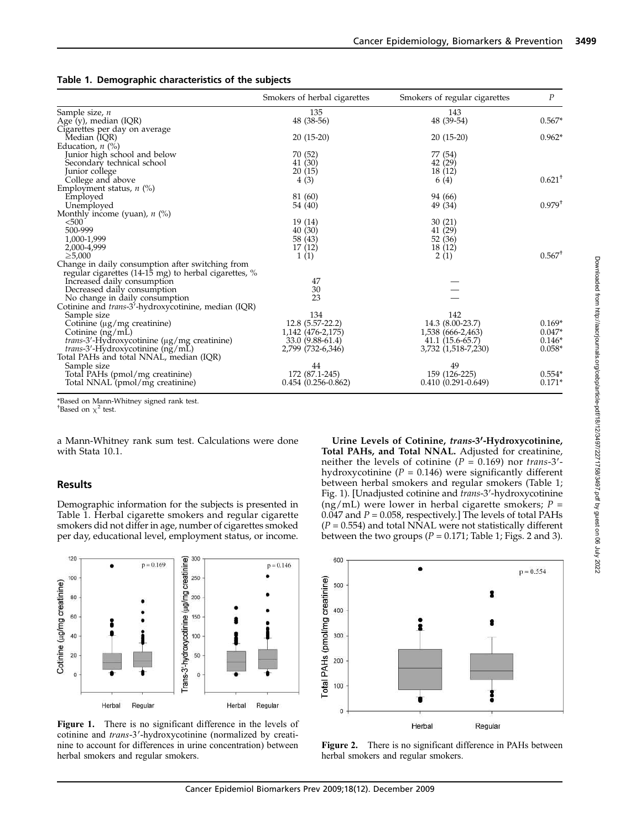|  | Table 1. Demographic characteristics of the subjects |  |  |
|--|------------------------------------------------------|--|--|
|  |                                                      |  |  |

|                                                       | Smokers of herbal cigarettes | Smokers of regular cigarettes | $\boldsymbol{P}$     |
|-------------------------------------------------------|------------------------------|-------------------------------|----------------------|
| Sample size, n                                        | 135                          | 143                           |                      |
| Age (y), median (IQR)                                 | 48 (38-56)                   | 48 (39-54)                    | $0.567*$             |
| Cigarettes per day on average                         |                              |                               |                      |
| Median (IQR)                                          | $20(15-20)$                  | $20(15-20)$                   | $0.962*$             |
| Education, $n$ (%)                                    |                              |                               |                      |
| Junior high school and below                          | 70 (52)                      | 77 (54)                       |                      |
| Secondary technical school                            | 41 (30)                      | 42 (29)                       |                      |
| Junior college                                        | 20(15)                       | 18(12)                        |                      |
| College and above                                     | 4(3)                         | 6(4)                          | $0.621$ <sup>+</sup> |
| Employment status, $n$ (%)                            |                              |                               |                      |
| Employed                                              | 81 (60)                      | 94 (66)                       |                      |
| Unemployed                                            | 54 (40)                      | 49 (34)                       | $0.979^{+}$          |
| Monthly income (yuan), $n$ (%)                        |                              |                               |                      |
| < 500                                                 | 19(14)                       | 30(21)                        |                      |
| 500-999                                               | 40(30)                       | 41(29)                        |                      |
| 1,000-1,999                                           | 58 (43)                      | 52 (36)                       |                      |
| 2,000-4,999                                           | 17(12)                       | 18(12)                        |                      |
| $\geq 5,000$                                          | 1(1)                         | 2(1)                          | $0.567^+$            |
| Change in daily consumption after switching from      |                              |                               |                      |
| regular cigarettes (14-15 mg) to herbal cigarettes, % |                              |                               |                      |
| Increased daily consumption                           | 47                           |                               |                      |
| Decreased daily consumption                           | 30                           |                               |                      |
| No change in daily consumption                        | 23                           |                               |                      |
| Cotinine and trans-3'-hydroxycotinine, median (IQR)   |                              |                               |                      |
| Sample size                                           | 134                          | 142                           |                      |
| Cotinine (μg/mg creatinine)                           | 12.8 (5.57-22.2)             | 14.3 (8.00-23.7)              | $0.169*$             |
| Cotinine (ng/mL)                                      | 1,142 (476-2,175)            | 1,538 (666-2,463)             | $0.047*$             |
| trans-3'-Hydroxycotinine (µg/mg creatinine)           | 33.0 (9.88-61.4)             | $41.1(15.6-65.7)$             | $0.146*$             |
| trans-3'-Hydroxycotinine (ng/mL)                      | 2,799 (732-6,346)            | 3,732 (1,518-7,230)           | $0.058*$             |
| Total PAHs and total NNAL, median (IQR)               |                              |                               |                      |
| Sample size                                           | 44                           | 49                            |                      |
| Total PAHs (pmol/mg creatinine)                       | 172 (87.1-245)               | 159 (126-225)                 | $0.554*$             |
| Total NNAL (pmol/mg creatinine)                       | $0.454(0.256 - 0.862)$       | $0.410(0.291 - 0.649)$        | $0.171*$             |
|                                                       |                              |                               |                      |

\*Based on Mann-Whitney signed rank test.

<sup>†</sup>Based on  $\chi^2$  test.

a Mann-Whitney rank sum test. Calculations were done with Stata 10.1.

## Results



Demographic information for the subjects is presented in Table 1. Herbal cigarette smokers and regular cigarette smokers did not differ in age, number of cigarettes smoked per day, educational level, employment status, or income.

Figure 1. There is no significant difference in the levels of cotinine and trans-3′-hydroxycotinine (normalized by creatinine to account for differences in urine concentration) between herbal smokers and regular smokers.

Urine Levels of Cotinine, trans-3′-Hydroxycotinine, Total PAHs, and Total NNAL. Adjusted for creatinine, neither the levels of cotinine ( $P = 0.169$ ) nor trans-3'hydroxycotinine ( $P = 0.146$ ) were significantly different between herbal smokers and regular smokers (Table 1; Fig. 1). [Unadjusted cotinine and trans-3'-hydroxycotinine (ng/mL) were lower in herbal cigarette smokers;  $P =$ 0.047 and  $P = 0.058$ , respectively.] The levels of total PAHs  $(P = 0.554)$  and total NNAL were not statistically different between the two groups ( $P = 0.171$ ; Table 1; Figs. 2 and 3).



Figure 2. There is no significant difference in PAHs between herbal smokers and regular smokers.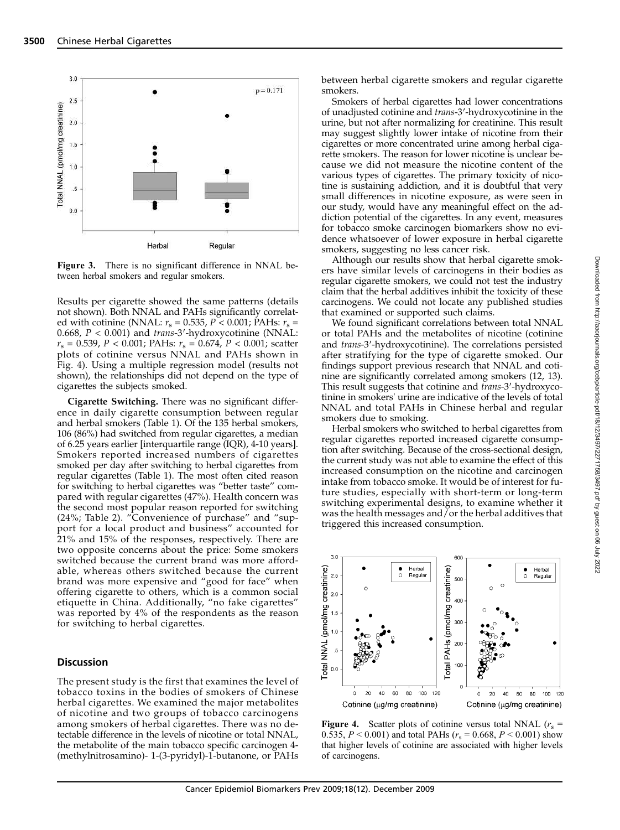

Figure 3. There is no significant difference in NNAL between herbal smokers and regular smokers.

Results per cigarette showed the same patterns (details not shown). Both NNAL and PAHs significantly correlated with cotinine (NNAL:  $r_s = 0.535$ ,  $P < 0.001$ ; PAHs:  $r_s =$ 0.668,  $P < 0.001$ ) and trans-3'-hydroxycotinine (NNAL:  $r_s = 0.539$ ,  $P < 0.001$ ; PAHs:  $r_s = 0.674$ ,  $P < 0.001$ ; scatter plots of cotinine versus NNAL and PAHs shown in Fig. 4). Using a multiple regression model (results not shown), the relationships did not depend on the type of cigarettes the subjects smoked.

Cigarette Switching. There was no significant difference in daily cigarette consumption between regular and herbal smokers (Table 1). Of the 135 herbal smokers, 106 (86%) had switched from regular cigarettes, a median of 6.25 years earlier [interquartile range (IQR), 4-10 years]. Smokers reported increased numbers of cigarettes smoked per day after switching to herbal cigarettes from regular cigarettes (Table 1). The most often cited reason for switching to herbal cigarettes was "better taste" compared with regular cigarettes (47%). Health concern was the second most popular reason reported for switching (24%; Table 2). "Convenience of purchase" and "support for a local product and business" accounted for 21% and 15% of the responses, respectively. There are two opposite concerns about the price: Some smokers switched because the current brand was more affordable, whereas others switched because the current brand was more expensive and "good for face" when offering cigarette to others, which is a common social etiquette in China. Additionally, "no fake cigarettes" was reported by 4% of the respondents as the reason for switching to herbal cigarettes.

#### **Discussion**

The present study is the first that examines the level of tobacco toxins in the bodies of smokers of Chinese herbal cigarettes. We examined the major metabolites of nicotine and two groups of tobacco carcinogens among smokers of herbal cigarettes. There was no detectable difference in the levels of nicotine or total NNAL, the metabolite of the main tobacco specific carcinogen 4- (methylnitrosamino)- 1-(3-pyridyl)-1-butanone, or PAHs between herbal cigarette smokers and regular cigarette smokers.

Smokers of herbal cigarettes had lower concentrations of unadjusted cotinine and trans-3′-hydroxycotinine in the urine, but not after normalizing for creatinine. This result may suggest slightly lower intake of nicotine from their cigarettes or more concentrated urine among herbal cigarette smokers. The reason for lower nicotine is unclear because we did not measure the nicotine content of the various types of cigarettes. The primary toxicity of nicotine is sustaining addiction, and it is doubtful that very small differences in nicotine exposure, as were seen in our study, would have any meaningful effect on the addiction potential of the cigarettes. In any event, measures for tobacco smoke carcinogen biomarkers show no evidence whatsoever of lower exposure in herbal cigarette smokers, suggesting no less cancer risk.

Although our results show that herbal cigarette smokers have similar levels of carcinogens in their bodies as regular cigarette smokers, we could not test the industry claim that the herbal additives inhibit the toxicity of these carcinogens. We could not locate any published studies that examined or supported such claims.

We found significant correlations between total NNAL or total PAHs and the metabolites of nicotine (cotinine and trans-3′-hydroxycotinine). The correlations persisted after stratifying for the type of cigarette smoked. Our findings support previous research that NNAL and cotinine are significantly correlated among smokers (12, 13). This result suggests that cotinine and trans-3′-hydroxycotinine in smokers' urine are indicative of the levels of total NNAL and total PAHs in Chinese herbal and regular smokers due to smoking.

Herbal smokers who switched to herbal cigarettes from regular cigarettes reported increased cigarette consumption after switching. Because of the cross-sectional design, the current study was not able to examine the effect of this increased consumption on the nicotine and carcinogen intake from tobacco smoke. It would be of interest for future studies, especially with short-term or long-term switching experimental designs, to examine whether it was the health messages and/or the herbal additives that triggered this increased consumption.



**Figure 4.** Scatter plots of cotinine versus total NNAL  $(r_s =$ 0.535,  $P < 0.001$ ) and total PAHs ( $r_s = 0.668$ ,  $P < 0.001$ ) show that higher levels of cotinine are associated with higher levels of carcinogens.